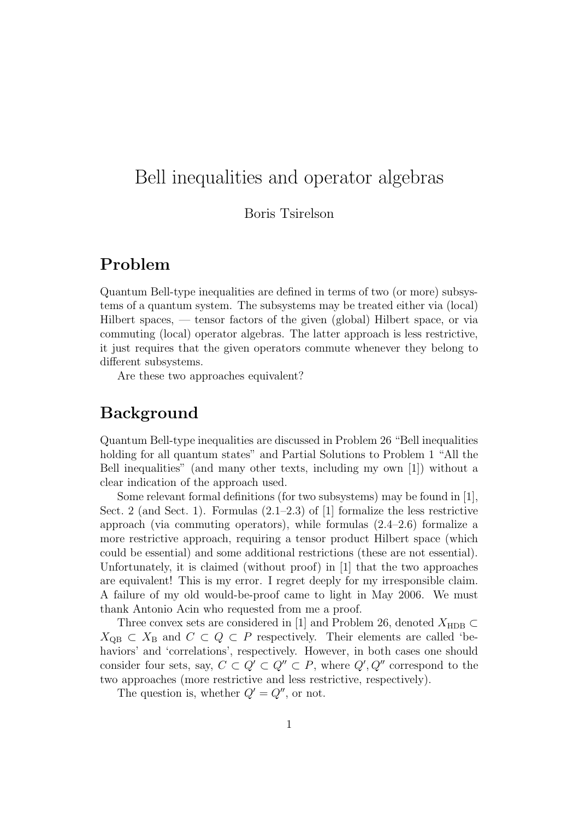# Bell inequalities and operator algebras

#### Boris Tsirelson

## Problem

Quantum Bell-type inequalities are defined in terms of two (or more) subsystems of a quantum system. The subsystems may be treated either via (local) Hilbert spaces, — tensor factors of the given (global) Hilbert space, or via commuting (local) operator algebras. The latter approach is less restrictive, it just requires that the given operators commute whenever they belong to different subsystems.

Are these two approaches equivalent?

## Background

Quantum Bell-type inequalities are discussed in Problem 26 "Bell inequalities holding for all quantum states" and Partial Solutions to Problem 1 "All the Bell inequalities" (and many other texts, including my own [1]) without a clear indication of the approach used.

Some relevant formal definitions (for two subsystems) may be found in [1], Sect. 2 (and Sect. 1). Formulas (2.1–2.3) of [1] formalize the less restrictive approach (via commuting operators), while formulas  $(2.4-2.6)$  formalize a more restrictive approach, requiring a tensor product Hilbert space (which could be essential) and some additional restrictions (these are not essential). Unfortunately, it is claimed (without proof) in [1] that the two approaches are equivalent! This is my error. I regret deeply for my irresponsible claim. A failure of my old would-be-proof came to light in May 2006. We must thank Antonio Acin who requested from me a proof.

Three convex sets are considered in [1] and Problem 26, denoted  $X_{\text{HDB}} \subset$  $X_{\text{QB}} \subset X_{\text{B}}$  and  $C \subset Q \subset P$  respectively. Their elements are called 'behaviors' and 'correlations', respectively. However, in both cases one should consider four sets, say,  $C \subset Q' \subset Q'' \subset P$ , where  $Q', Q''$  correspond to the two approaches (more restrictive and less restrictive, respectively).

The question is, whether  $Q' = Q''$ , or not.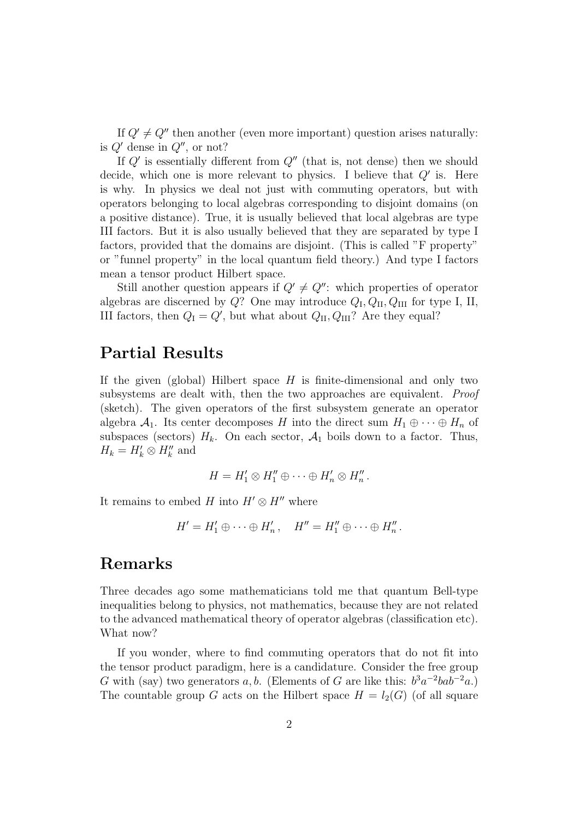If  $Q' \neq Q''$  then another (even more important) question arises naturally: is  $Q'$  dense in  $Q''$ , or not?

If  $Q'$  is essentially different from  $Q''$  (that is, not dense) then we should decide, which one is more relevant to physics. I believe that  $Q'$  is. Here is why. In physics we deal not just with commuting operators, but with operators belonging to local algebras corresponding to disjoint domains (on a positive distance). True, it is usually believed that local algebras are type III factors. But it is also usually believed that they are separated by type I factors, provided that the domains are disjoint. (This is called "F property" or "funnel property" in the local quantum field theory.) And type I factors mean a tensor product Hilbert space.

Still another question appears if  $Q' \neq Q''$ : which properties of operator algebras are discerned by  $Q$ ? One may introduce  $Q_{\text{I}}, Q_{\text{II}}, Q_{\text{III}}$  for type I, II, III factors, then  $Q_{\rm I} = Q'$ , but what about  $Q_{\rm II}$ ,  $Q_{\rm III}$ ? Are they equal?

### Partial Results

If the given (global) Hilbert space  $H$  is finite-dimensional and only two subsystems are dealt with, then the two approaches are equivalent. Proof (sketch). The given operators of the first subsystem generate an operator algebra  $\mathcal{A}_1$ . Its center decomposes H into the direct sum  $H_1 \oplus \cdots \oplus H_n$  of subspaces (sectors)  $H_k$ . On each sector,  $A_1$  boils down to a factor. Thus,  $H_k = H'_k \otimes H''_k$  and

$$
H = H'_1 \otimes H''_1 \oplus \cdots \oplus H'_n \otimes H''_n.
$$

It remains to embed H into  $H' \otimes H''$  where

$$
H'=H'_1\oplus\cdots\oplus H'_n, \quad H''=H''_1\oplus\cdots\oplus H''_n.
$$

#### Remarks

Three decades ago some mathematicians told me that quantum Bell-type inequalities belong to physics, not mathematics, because they are not related to the advanced mathematical theory of operator algebras (classification etc). What now?

If you wonder, where to find commuting operators that do not fit into the tensor product paradigm, here is a candidature. Consider the free group G with (say) two generators a, b. (Elements of G are like this:  $b^3a^{-2}ba\overline{b}^{-2}a$ .) The countable group G acts on the Hilbert space  $H = l_2(G)$  (of all square